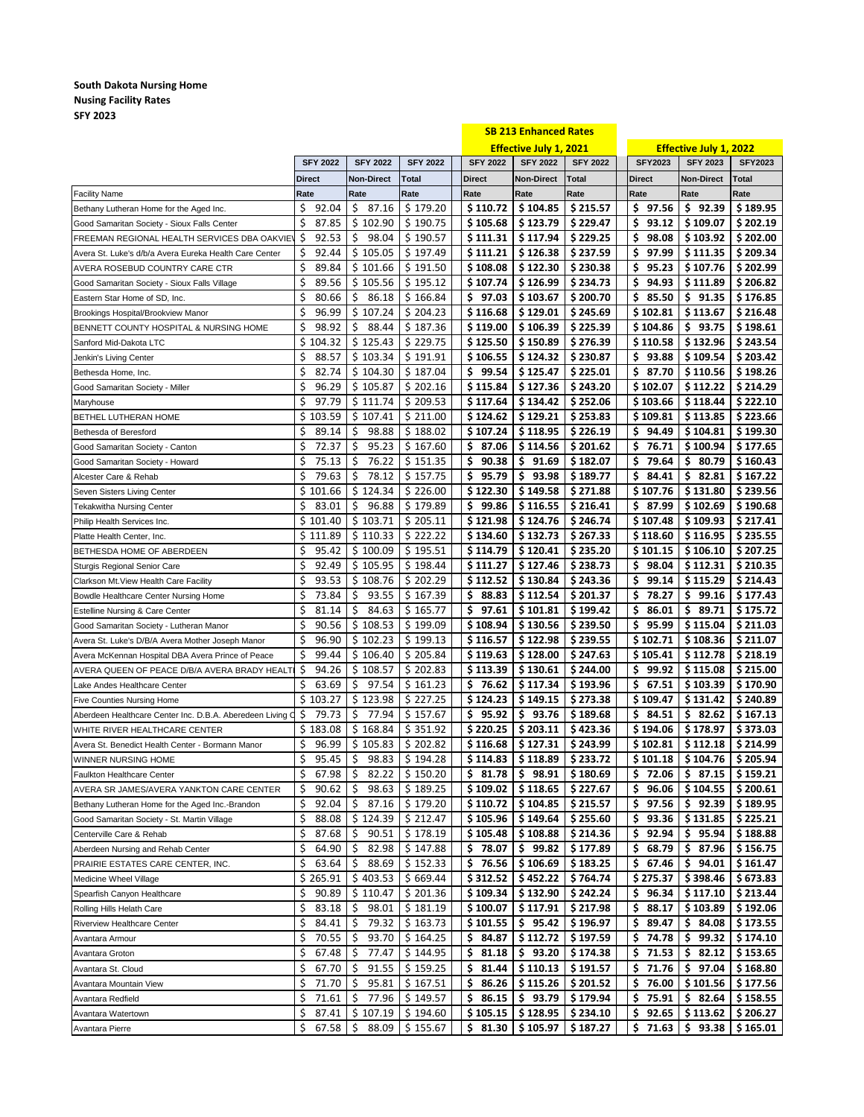## **South Dakota Nursing Home Nusing Facility Rates SFY 2023**

|                                                           |                   |                 |                                          |                 | <b>SB 213 Enhanced Rates</b>  |                 |                               |                               |                |
|-----------------------------------------------------------|-------------------|-----------------|------------------------------------------|-----------------|-------------------------------|-----------------|-------------------------------|-------------------------------|----------------|
|                                                           |                   |                 |                                          |                 | <b>Effective July 1, 2021</b> |                 | <b>Effective July 1, 2022</b> |                               |                |
|                                                           | <b>SFY 2022</b>   | <b>SFY 2022</b> | <b>SFY 2022</b>                          | <b>SFY 2022</b> | <b>SFY 2022</b>               | <b>SFY 2022</b> | <b>SFY2023</b>                | <b>SFY 2023</b>               | <b>SFY2023</b> |
|                                                           | <b>Direct</b>     | Non-Direct      | Total                                    | <b>Direct</b>   | <b>Non-Direct</b>             | Total           | Direct                        | <b>Non-Direct</b>             | Total          |
| <b>Facility Name</b>                                      | Rate              | Rate            | Rate                                     | Rate            | Rate                          | Rate            | Rate                          | Rate                          | Rate           |
| Bethany Lutheran Home for the Aged Inc.                   | Ŝ.<br>92.04       | \$37.16         | \$179.20                                 | \$110.72        | \$104.85                      | \$215.57        | \$97.56                       | \$92.39                       | \$189.95       |
| Good Samaritan Society - Sioux Falls Center               | \$<br>87.85       | \$102.90        | \$190.75                                 | \$105.68        | \$123.79                      | \$229.47        | \$<br>93.12                   | \$109.07                      | \$202.19       |
| FREEMAN REGIONAL HEALTH SERVICES DBA OAKVIEY              | \$<br>92.53       | \$.<br>98.04    | \$190.57                                 | \$111.31        | \$117.94                      | \$229.25        | \$<br>98.08                   | \$103.92                      | \$202.00       |
| Avera St. Luke's d/b/a Avera Eureka Health Care Center    | \$<br>92.44       | \$105.05        | \$197.49                                 | \$ 111.21       | \$126.38                      | \$237.59        | \$<br>97.99                   | \$111.35                      | \$209.34       |
| AVERA ROSEBUD COUNTRY CARE CTR                            | \$<br>89.84       | \$101.66        | \$191.50                                 | \$108.08        | \$122.30                      | \$230.38        | 95.23<br>\$.                  | \$107.76                      | \$202.99       |
| Good Samaritan Society - Sioux Falls Village              | \$<br>89.56       | \$105.56        | \$195.12                                 | \$107.74        | \$126.99                      | \$234.73        | \$<br>94.93                   | \$111.89                      | \$206.82       |
| Eastern Star Home of SD, Inc.                             | \$<br>80.66       | \$.<br>86.18    | \$166.84                                 | \$97.03         | \$103.67                      | \$200.70        | 85.50<br>Ş.                   | \$91.35                       | \$176.85       |
| Brookings Hospital/Brookview Manor                        | \$<br>96.99       | \$107.24        | \$204.23                                 | \$116.68        | \$129.01                      | \$245.69        | \$102.81                      | \$113.67                      | \$216.48       |
| BENNETT COUNTY HOSPITAL & NURSING HOME                    | Ŝ.<br>98.92       | \$<br>88.44     | \$187.36                                 | \$119.00        | \$106.39                      | \$225.39        | \$104.86                      | \$93.75                       | \$198.61       |
| Sanford Mid-Dakota LTC                                    | \$104.32          | \$125.43        | \$229.75                                 | \$125.50        | \$150.89                      | \$276.39        | \$110.58                      | \$132.96                      | \$243.54       |
| Jenkin's Living Center                                    | \$<br>88.57       | \$103.34        | \$191.91                                 | \$106.55        | \$124.32                      | \$230.87        | \$93.88                       | \$109.54                      | \$203.42       |
| Bethesda Home, Inc.                                       | \$<br>82.74       | \$104.30        | \$187.04                                 | \$99.54         | \$125.47                      | \$225.01        | \$.<br>87.70                  | \$110.56                      | \$198.26       |
| Good Samaritan Society - Miller                           | Ś<br>96.29        | \$105.87        | \$202.16                                 | \$115.84        | \$127.36                      | \$243.20        | \$102.07                      | \$112.22                      | \$214.29       |
| Maryhouse                                                 | \$<br>97.79       | \$111.74        | \$209.53                                 | \$ 117.64       | \$134.42                      | \$252.06        | \$103.66                      | \$118.44                      | \$222.10       |
| BETHEL LUTHERAN HOME                                      | \$103.59          | \$107.41        | \$211.00                                 | \$124.62        | \$129.21                      | \$253.83        | \$109.81                      | \$113.85                      | \$223.66       |
| Bethesda of Beresford                                     | \$<br>89.14       | \$<br>98.88     | \$188.02                                 | \$107.24        | \$118.95                      | \$226.19        | \$94.49                       | \$104.81                      | \$199.30       |
| Good Samaritan Society - Canton                           | Ś.<br>72.37       | \$<br>95.23     | \$167.60                                 | \$37.06         | \$114.56                      | \$201.62        | \$76.71                       | \$100.94                      | \$177.65       |
|                                                           | Ś.<br>75.13       | \$<br>76.22     | \$151.35                                 | \$<br>90.38     | \$91.69                       | \$182.07        | \$<br>79.64                   | \$80.79                       | \$160.43       |
| Good Samaritan Society - Howard                           | \$<br>79.63       | \$<br>78.12     | \$157.75                                 | \$95.79         | \$93.98                       | \$189.77        | \$.<br>84.41                  | \$82.81                       | \$167.22       |
| Alcester Care & Rehab                                     | \$101.66          | \$124.34        | \$226.00                                 | \$122.30        | \$149.58                      | \$271.88        | \$107.76                      | \$131.80                      | \$239.56       |
| Seven Sisters Living Center                               | \$                | \$96.88         |                                          |                 |                               | \$216.41        | \$37.99                       |                               |                |
| <b>Tekakwitha Nursing Center</b>                          | 83.01<br>\$101.40 |                 | \$179.89                                 | \$99.86         | \$116.55                      |                 |                               | \$102.69                      | \$190.68       |
| Philip Health Services Inc.                               |                   | \$103.71        | \$205.11                                 | \$121.98        | \$124.76                      | \$246.74        | \$107.48                      | \$109.93                      | \$217.41       |
| Platte Health Center, Inc.                                | \$111.89          | \$110.33        | \$222.22                                 | \$134.60        | \$132.73                      | \$267.33        | \$118.60                      | \$116.95                      | \$235.55       |
| BETHESDA HOME OF ABERDEEN                                 | 95.42<br>S        | \$100.09        | \$195.51                                 | \$114.79        | \$120.41                      | \$235.20        | \$101.15                      | \$106.10                      | \$207.25       |
| Sturgis Regional Senior Care                              | Ś<br>92.49        | \$105.95        | \$198.44                                 | \$111.27        | \$127.46                      | \$238.73        | s<br>98.04                    | \$112.31                      | \$210.35       |
| Clarkson Mt. View Health Care Facility                    | Ś<br>93.53        | \$108.76        | \$202.29                                 | \$112.52        | \$130.84                      | \$243.36        | \$<br>99.14                   | \$115.29                      | \$214.43       |
| Bowdle Healthcare Center Nursing Home                     | \$<br>73.84       | 93.55<br>s      | \$167.39                                 | \$88.83         | \$112.54                      | \$201.37        | \$<br>78.27                   | \$99.16                       | \$177.43       |
| <b>Estelline Nursing &amp; Care Center</b>                | \$<br>81.14       | \$<br>84.63     | \$165.77                                 | \$97.61         | \$101.81                      | \$199.42        | \$<br>86.01                   | \$89.71                       | \$175.72       |
| Good Samaritan Society - Lutheran Manor                   | \$<br>90.56       | \$108.53        | \$199.09                                 | \$108.94        | \$130.56                      | \$239.50        | \$<br>95.99                   | \$115.04                      | \$211.03       |
| Avera St. Luke's D/B/A Avera Mother Joseph Manor          | Ś<br>96.90        | \$102.23        | \$199.13                                 | \$116.57        | \$122.98                      | \$239.55        | \$102.71                      | \$108.36                      | \$211.07       |
| Avera McKennan Hospital DBA Avera Prince of Peace         | \$<br>99.44       | \$106.40        | \$205.84                                 | \$119.63        | \$128.00                      | \$247.63        | \$105.41                      | \$112.78                      | \$218.19       |
| AVERA QUEEN OF PEACE D/B/A AVERA BRADY HEALTI             | \$<br>94.26       | \$108.57        | \$202.83                                 | \$113.39        | \$130.61                      | \$244.00        | 99.92<br>Ş.                   | \$115.08                      | \$215.00       |
| Lake Andes Healthcare Center                              | \$<br>63.69       | \$<br>97.54     | \$161.23                                 | \$76.62         | \$117.34                      | \$193.96        | 67.51<br>Ş                    | \$103.39                      | \$170.90       |
| <b>Five Counties Nursing Home</b>                         | \$103.27          | \$123.98        | \$227.25                                 | \$124.23        | \$149.15                      | \$273.38        | \$109.47                      | \$131.42                      | \$240.89       |
| Aberdeen Healthcare Center Inc. D.B.A. Aberedeen Living O | \$<br>79.73       | \$77.94         | \$157.67                                 | \$95.92         | \$93.76                       | \$189.68        | \$34.51                       | \$82.62                       | \$167.13       |
| WHITE RIVER HEALTHCARE CENTER                             | \$183.08          | \$168.84        | \$351.92                                 | \$220.25        | \$203.11                      | \$423.36        | \$194.06                      | \$178.97                      | \$373.03       |
| Avera St. Benedict Health Center - Bormann Manor          | \$<br>96.99       | \$105.83        | \$202.82                                 | \$116.68        | \$127.31                      | \$243.99        | \$102.81                      | \$112.18                      | \$214.99       |
| WINNER NURSING HOME                                       | \$<br>95.45       |                 | $\frac{1}{5}$ 98.83 $\frac{1}{5}$ 194.28 |                 | $$114.83$ $$118.89$ $$233.72$ |                 |                               | $$101.18$ $$104.76$ $$205.94$ |                |
| Faulkton Healthcare Center                                | \$<br>67.98       | \$<br>82.22     | \$150.20                                 | \$.<br>81.78    | \$98.91                       | \$180.69        | \$<br>72.06                   | \$87.15                       | \$159.21       |
| AVERA SR JAMES/AVERA YANKTON CARE CENTER                  | \$<br>90.62       | \$<br>98.63     | \$189.25                                 | \$109.02        | \$118.65                      | \$227.67        | \$<br>96.06                   | \$104.55                      | \$200.61       |
| Bethany Lutheran Home for the Aged Inc.-Brandon           | \$<br>92.04       | \$<br>87.16     | \$179.20                                 | \$110.72        | \$104.85                      | \$215.57        | \$<br>97.56                   | \$92.39                       | \$189.95       |
| Good Samaritan Society - St. Martin Village               | \$<br>88.08       | \$124.39        | \$212.47                                 | \$ 105.96       | \$149.64                      | \$255.60        | \$<br>93.36                   | \$131.85                      | \$225.21       |
| Centerville Care & Rehab                                  | \$<br>87.68       | \$<br>90.51     | \$178.19                                 | \$105.48        | \$108.88                      | \$214.36        | \$<br>92.94                   | \$<br>95.94                   | \$188.88       |
| Aberdeen Nursing and Rehab Center                         | \$<br>64.90       | \$<br>82.98     | \$147.88                                 | \$78.07         | \$99.82                       | \$177.89        | \$<br>68.79                   | \$87.96                       | \$156.75       |
| PRAIRIE ESTATES CARE CENTER, INC.                         | \$<br>63.64       | \$<br>88.69     | \$152.33                                 | \$76.56         | \$106.69                      | \$183.25        | \$<br>67.46                   | \$<br>94.01                   | \$161.47       |
| Medicine Wheel Village                                    | \$265.91          | \$403.53        | \$669.44                                 | \$312.52        | \$452.22                      | \$764.74        | \$275.37                      | \$398.46                      | \$673.83       |
| Spearfish Canyon Healthcare                               | \$<br>90.89       | \$110.47        | \$201.36                                 | \$109.34        | \$132.90                      | \$242.24        | \$<br>96.34                   | \$117.10                      | \$213.44       |
| Rolling Hills Helath Care                                 | \$<br>83.18       | 98.01<br>S      | \$181.19                                 | \$100.07        | \$117.91                      | \$217.98        | \$<br>88.17                   | \$103.89                      | \$192.06       |
| Riverview Healthcare Center                               | \$<br>84.41       | \$<br>79.32     | \$163.73                                 | \$101.55        | \$95.42                       | \$196.97        | \$<br>89.47                   | \$84.08                       | \$173.55       |
| Avantara Armour                                           | \$<br>70.55       | \$<br>93.70     | \$164.25                                 | Ş.<br>84.87     | \$112.72                      | \$197.59        | Ş<br>74.78                    | \$<br>99.32                   | \$174.10       |
| Avantara Groton                                           | \$<br>67.48       | \$<br>77.47     | \$144.95                                 | \$<br>81.18     | \$93.20                       | \$174.38        | \$<br>71.53                   | \$<br>82.12                   | \$153.65       |
| Avantara St. Cloud                                        | \$<br>67.70       | \$<br>91.55     | \$159.25                                 | \$<br>81.44     | \$110.13                      | \$191.57        | \$<br>71.76                   | \$<br>97.04                   | \$168.80       |
| Avantara Mountain View                                    | \$<br>71.70       | \$<br>95.81     | \$167.51                                 | 86.26<br>Ş      | \$115.26                      | \$201.52        | \$<br>76.00                   | \$101.56                      | \$177.56       |
| Avantara Redfield                                         | \$<br>71.61       | \$<br>77.96     | \$149.57                                 | \$<br>86.15     | \$.<br>93.79                  | \$179.94        | \$<br>75.91                   | 82.64<br>\$                   | \$158.55       |
| Avantara Watertown                                        | \$<br>87.41       | \$107.19        | \$194.60                                 | \$105.15        | \$128.95                      | \$234.10        | \$<br>92.65                   | \$113.62                      | \$206.27       |
| Avantara Pierre                                           | \$<br>67.58       | \$<br>88.09     | \$155.67                                 | \$<br>81.30     | \$105.97                      | \$187.27        | \$<br>71.63                   | \$93.38                       | \$165.01       |